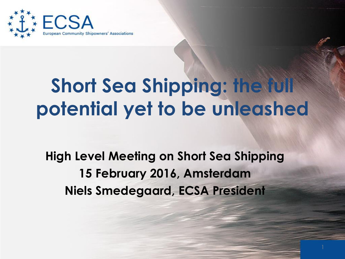

# **Short Sea Shipping: the full potential yet to be unleashed**

**High Level Meeting on Short Sea Shipping 15 February 2016, Amsterdam Niels Smedegaard, ECSA President**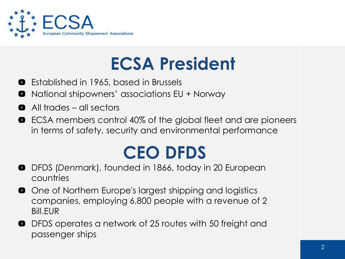

## **ECSA President**

- Established in 1965, based in Brussels 0
- National shipowners' associations EU + Norway  $\bullet$
- All trades all sectors  $\bullet$
- ECSA members control 40% of the global fleet and are pioneers  $\bullet$ in terms of safety, security and environmental performance

## **CEO DFDS**

- DFDS (*Denmark*), founded in 1866, today in 20 European  $\bullet$ countries
- **O** One of Northern Europe's largest shipping and logistics companies, employing 6,800 people with a revenue of 2 Bill.EUR
- DFDS operates a network of 25 routes with 50 freight and  $\bullet$ passenger ships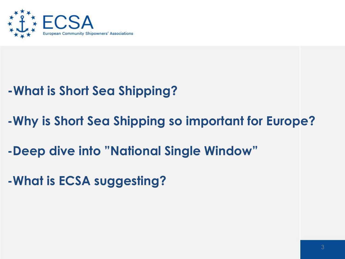

### **-What is Short Sea Shipping?**

- **-Why is Short Sea Shipping so important for Europe?**
- **-Deep dive into "National Single Window"**
- **-What is ECSA suggesting?**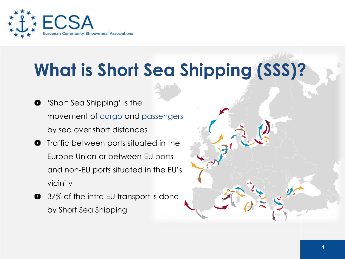

# **What is Short Sea Shipping (SSS)?**

- 'Short Sea Shipping' is the  $\bullet$ movement of cargo and passengers by sea over short distances
- **O** Traffic between ports situated in the Europe Union or between EU ports and non-EU ports situated in the EU's vicinity
- **37%** of the intra EU transport is done by Short Sea Shipping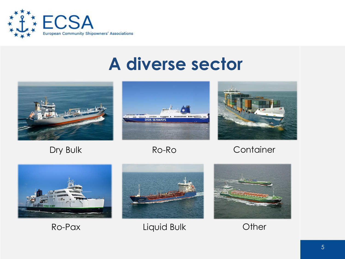

### **A diverse sector**









Dry Bulk Ro-Ro Container





Ro-Pax Liquid Bulk Other

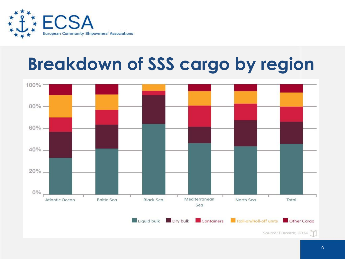

## **Breakdown of SSS cargo by region**

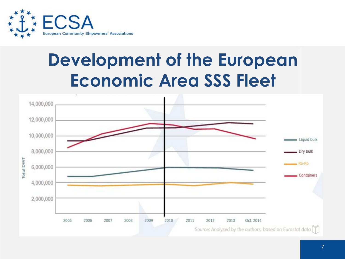

### **Development of the European Economic Area SSS Fleet**

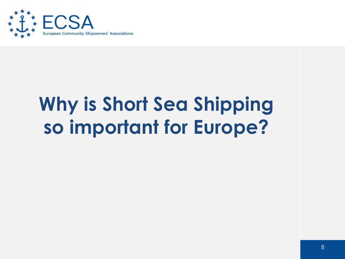

# **Why is Short Sea Shipping so important for Europe?**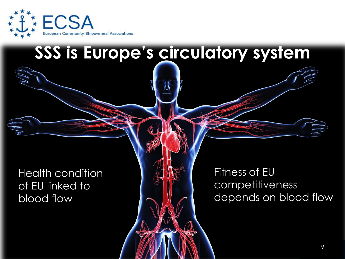

### **SSS is Europe's circulatory system**

Health condition of EU linked to blood flow

Fitness of EU competitiveness depends on blood flow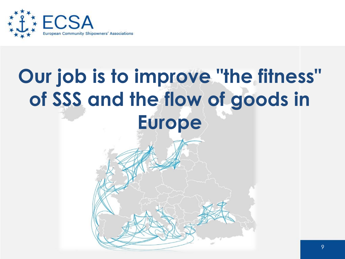

# **Our job is to improve "the fitness" of SSS and the flow of goods in Europe**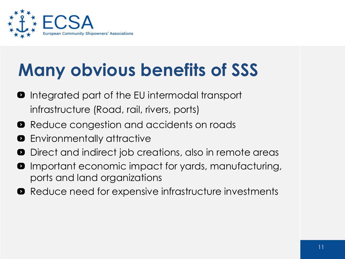

# **Many obvious benefits of SSS**

- **O** Integrated part of the EU intermodal transport infrastructure (Road, rail, rivers, ports)
- **•** Reduce congestion and accidents on roads
- $\bullet$  Environmentally attractive
- Direct and indirect job creations, also in remote areas  $\bullet$
- **O** Important economic impact for yards, manufacturing, ports and land organizations
- **•** Reduce need for expensive infrastructure investments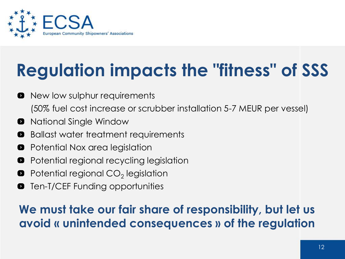

# **Regulation impacts the "fitness" of SSS**

- **O** New low sulphur requirements (50% fuel cost increase or scrubber installation 5-7 MEUR per vessel)
- National Single Window  $\bullet$
- Ballast water treatment requirements  $\bullet$
- Potential Nox area legislation  $\bullet$
- Potential regional recycling legislation  $\bullet$
- Potential regional CO $_2$  legislation 0
- Ten-T/CEF Funding opportunities  $\bullet$

#### **We must take our fair share of responsibility, but let us avoid « unintended consequences » of the regulation**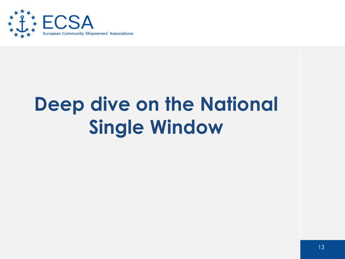

# **Deep dive on the National Single Window**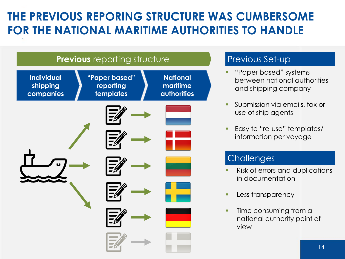### **THE PREVIOUS REPORING STRUCTURE WAS CUMBERSOME FOR THE NATIONAL MARITIME AUTHORITIES TO HANDLE**





#### Previous Set-up

- "Paper based" systems between national authorities and shipping company
- Submission via emails, fax or use of ship agents
- Easy to "re-use" templates/ information per voyage

#### **Challenges**

- Risk of errors and duplications in documentation
- **Less transparency**
- Time consuming from a national authority point of view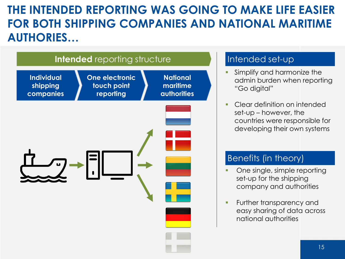#### **THE INTENDED REPORTING WAS GOING TO MAKE LIFE EASIER FOR BOTH SHIPPING COMPANIES AND NATIONAL MARITIME AUTHORIES…**



#### Intended set-up

- Simplify and harmonize the admin burden when reporting "Go digital"
- Clear definition on intended set-up – however, the countries were responsible for developing their own systems

#### Benefits (in theory)

- One single, simple reporting set-up for the shipping company and authorities
- **Further transparency and** easy sharing of data across national authorities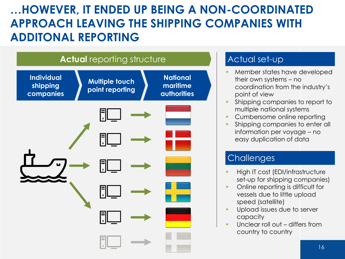### **…HOWEVER, IT ENDED UP BEING A NON-COORDINATED APPROACH LEAVING THE SHIPPING COMPANIES WITH ADDITONAL REPORTING**



#### Actual set-up

- Member states have developed their own systems – no coordination from the industry's point of view
- Shipping companies to report to multiple national systems
- Cumbersome online reporting
- Shipping companies to enter all information per voyage – no easy duplication of data

#### **Challenges**

- High IT cost (EDI/infrastructure set-up for shipping companies)
- Online reporting is difficult for vessels due to little upload speed (satellite)
- Upload issues due to server capacity
- Unclear roll out differs from country to country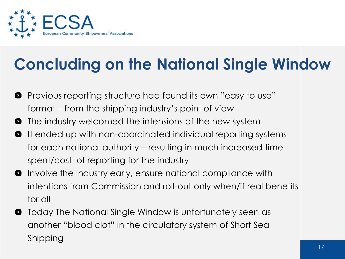

### **Concluding on the National Single Window**

- Previous reporting structure had found its own "easy to use"  $\bullet$ format – from the shipping industry's point of view
- The industry welcomed the intensions of the new system  $\bullet$
- It ended up with non-coordinated individual reporting systems  $\bullet$ for each national authority – resulting in much increased time spent/cost of reporting for the industry
- **O** Involve the industry early, ensure national compliance with intentions from Commission and roll-out only when/if real benefits for all
- **O** Today The National Single Window is unfortunately seen as another "blood clot" in the circulatory system of Short Sea Shipping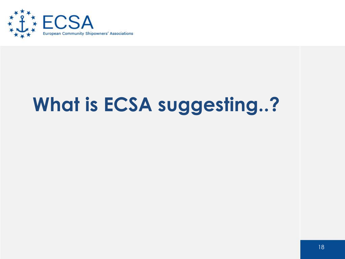

# **What is ECSA suggesting..?**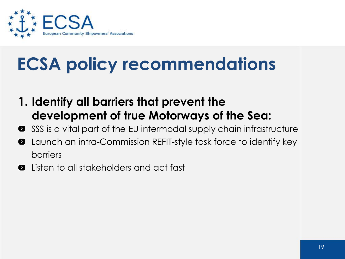

- **1. Identify all barriers that prevent the development of true Motorways of the Sea:**
- SSS is a vital part of the EU intermodal supply chain infrastructure  $\bullet$
- Launch an intra-Commission REFIT-style task force to identify key  $\bullet$ barriers
- Listen to all stakeholders and act fast 0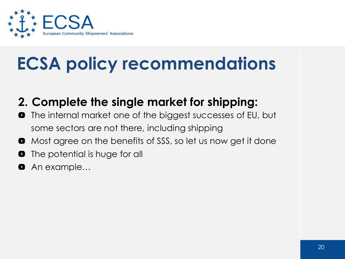

### **2. Complete the single market for shipping:**

- The internal market one of the biggest successes of EU, but  $\bullet$ some sectors are not there, including shipping
- Most agree on the benefits of SSS, so let us now get it done  $\bullet$
- The potential is huge for all  $\bullet$
- An example…  $\bullet$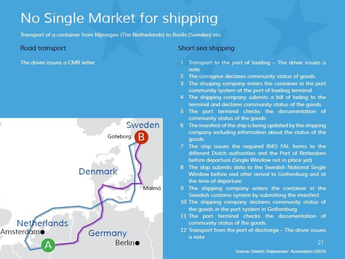### No Single Market for shipping

**2. Completing the Single Market Market Market Market Associates and Shipping and Shipping and Shipping and Shipping Associates and Shipping and Shipping and Shipping and Shipping and Shipping and Shipping and Shipping and** 

The driver issues a CMR letter



- Transport to the port of loading The driver issues a note
- 2 The consignor declares community status of goods
- The shipping company enters the container in the port community system at the port of loading terminal
- 4 The shipping company submits a bill of lading to the terminal and declares community status of the goods
- 5. The port terminal checks the documentation of community status of the goods
- 6 The manifest of the ship is being updated by the shipping company including information about the status of the goods
- 7 The ship issues the required IMO FAL forms to the different Dutch authorities and the Port of Rotterdam before departure (Single Window not in place yet)
- 8 The ship submits data to the Swedish National Single Window before and after arrival to Gothenburg and at the time of departure
- 9 The shipping company enters the container in the Swedish customs system by submitting the manifest
- 10 The shipping company declares community status of the goods in the port system in Gothenburg
- 11 The port terminal checks the documentation of community status of the goods
- 12 Transport from the port of discharge The driver issues a note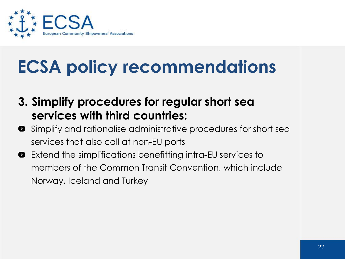

- **3. Simplify procedures for regular short sea services with third countries:**
- **•** Simplify and rationalise administrative procedures for short sea services that also call at non-EU ports
- Extend the simplifications benefitting intra-EU services to  $\bullet$ members of the Common Transit Convention, which include Norway, Iceland and Turkey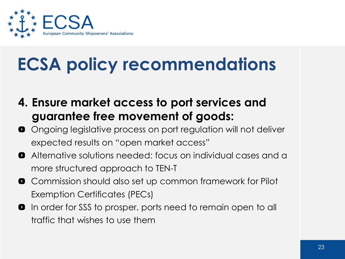

- **4. Ensure market access to port services and guarantee free movement of goods:**
- **O** Ongoing legislative process on port regulation will not deliver expected results on "open market access"
- Alternative solutions needed: focus on individual cases and a more structured approach to TEN-T
- **O** Commission should also set up common framework for Pilot Exemption Certificates (PECs)
- **O** In order for SSS to prosper, ports need to remain open to all traffic that wishes to use them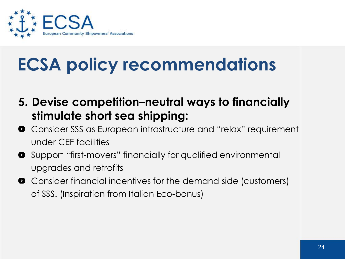

- **5. Devise competition–neutral ways to financially stimulate short sea shipping:**
- **•** Consider SSS as European infrastructure and "relax" requirement under CEF facilities
- **8** Support "first-movers" financially for qualified environmental upgrades and retrofits
- **O** Consider financial incentives for the demand side (customers) of SSS. (Inspiration from Italian Eco-bonus)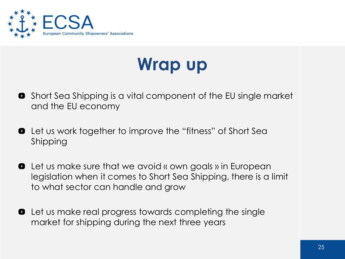

### **Wrap up**

- **•** Short Sea Shipping is a vital component of the EU single market and the EU economy
- **•** Let us work together to improve the "fitness" of Short Sea Shipping
- **•** Let us make sure that we avoid « own goals » in European legislation when it comes to Short Sea Shipping, there is a limit to what sector can handle and grow
- **•** Let us make real progress towards completing the single market for shipping during the next three years